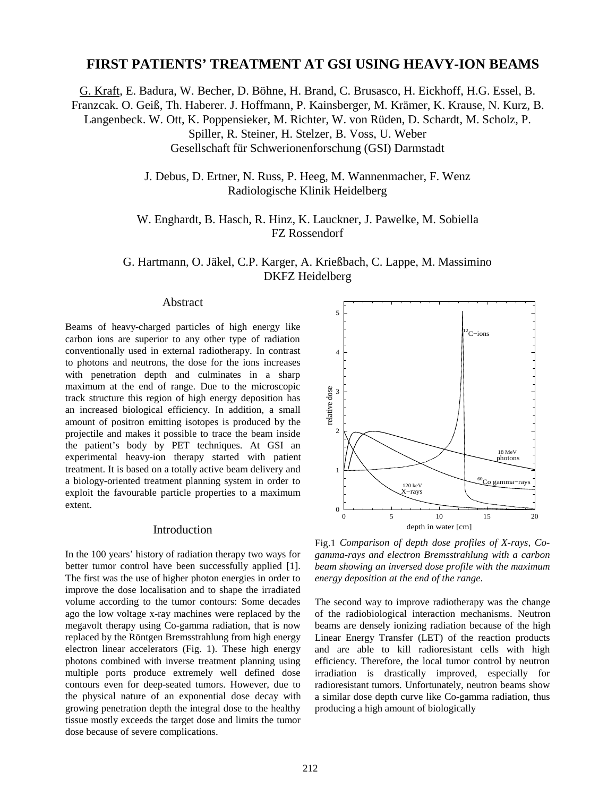# **FIRST PATIENTS' TREATMENT AT GSI USING HEAVY-ION BEAMS**

G. Kraft, E. Badura, W. Becher, D. Böhne, H. Brand, C. Brusasco, H. Eickhoff, H.G. Essel, B.

Franzcak. O. Geiß, Th. Haberer. J. Hoffmann, P. Kainsberger, M. Krämer, K. Krause, N. Kurz, B.

Langenbeck. W. Ott, K. Poppensieker, M. Richter, W. von Rüden, D. Schardt, M. Scholz, P.

Spiller, R. Steiner, H. Stelzer, B. Voss, U. Weber

Gesellschaft für Schwerionenforschung (GSI) Darmstadt

J. Debus, D. Ertner, N. Russ, P. Heeg, M. Wannenmacher, F. Wenz Radiologische Klinik Heidelberg

W. Enghardt, B. Hasch, R. Hinz, K. Lauckner, J. Pawelke, M. Sobiella FZ Rossendorf

G. Hartmann, O. Jäkel, C.P. Karger, A. Krießbach, C. Lappe, M. Massimino DKFZ Heidelberg

#### Abstract

Beams of heavy-charged particles of high energy like carbon ions are superior to any other type of radiation conventionally used in external radiotherapy. In contrast to photons and neutrons, the dose for the ions increases with penetration depth and culminates in a sharp maximum at the end of range. Due to the microscopic track structure this region of high energy deposition has an increased biological efficiency. In addition, a small amount of positron emitting isotopes is produced by the projectile and makes it possible to trace the beam inside the patient's body by PET techniques. At GSI an experimental heavy-ion therapy started with patient treatment. It is based on a totally active beam delivery and a biology-oriented treatment planning system in order to exploit the favourable particle properties to a maximum extent.

### Introduction

In the 100 years' history of radiation therapy two ways for better tumor control have been successfully applied [1]. The first was the use of higher photon energies in order to improve the dose localisation and to shape the irradiated volume according to the tumor contours: Some decades ago the low voltage x-ray machines were replaced by the megavolt therapy using Co-gamma radiation, that is now replaced by the Röntgen Bremsstrahlung from high energy electron linear accelerators (Fig. 1). These high energy photons combined with inverse treatment planning using multiple ports produce extremely well defined dose contours even for deep-seated tumors. However, due to the physical nature of an exponential dose decay with growing penetration depth the integral dose to the healthy tissue mostly exceeds the target dose and limits the tumor dose because of severe complications.



Fig.1 *Comparison of depth dose profiles of X-rays, Cogamma-rays and electron Bremsstrahlung with a carbon beam showing an inversed dose profile with the maximum energy deposition at the end of the range*.

The second way to improve radiotherapy was the change of the radiobiological interaction mechanisms. Neutron beams are densely ionizing radiation because of the high Linear Energy Transfer (LET) of the reaction products and are able to kill radioresistant cells with high efficiency. Therefore, the local tumor control by neutron irradiation is drastically improved, especially for radioresistant tumors. Unfortunately, neutron beams show a similar dose depth curve like Co-gamma radiation, thus producing a high amount of biologically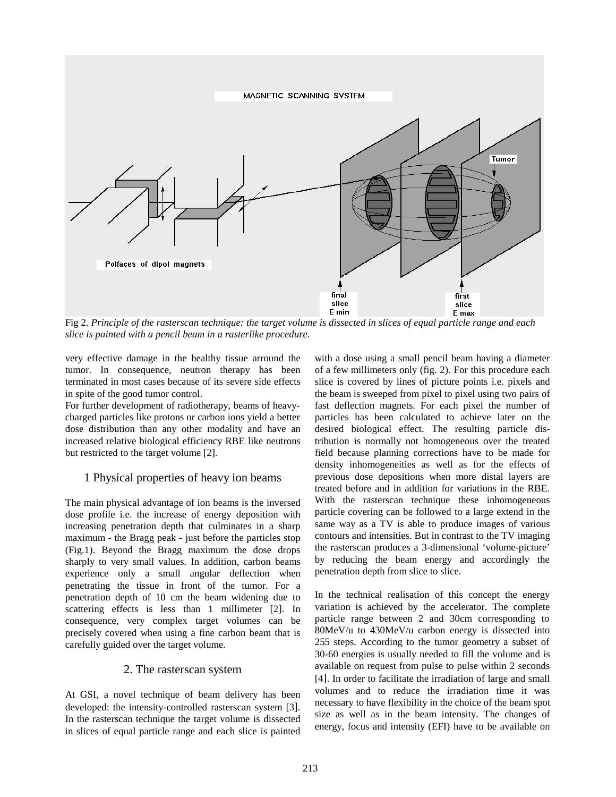

Fig 2. *Principle of the rasterscan technique: the target volume is dissected in slices of equal particle range and each slice is painted with a pencil beam in a rasterlike procedure.*

very effective damage in the healthy tissue arround the tumor. In consequence, neutron therapy has been terminated in most cases because of its severe side effects in spite of the good tumor control.

For further development of radiotherapy, beams of heavycharged particles like protons or carbon ions yield a better dose distribution than any other modality and have an increased relative biological efficiency RBE like neutrons but restricted to the target volume [2].

## 1 Physical properties of heavy ion beams

The main physical advantage of ion beams is the inversed dose profile i.e. the increase of energy deposition with increasing penetration depth that culminates in a sharp maximum - the Bragg peak - just before the particles stop (Fig.1). Beyond the Bragg maximum the dose drops sharply to very small values. In addition, carbon beams experience only a small angular deflection when penetrating the tissue in front of the tumor. For a penetration depth of 10 cm the beam widening due to scattering effects is less than 1 millimeter [2]. In consequence, very complex target volumes can be precisely covered when using a fine carbon beam that is carefully guided over the target volume.

### 2. The rasterscan system

At GSI, a novel technique of beam delivery has been developed: the intensity-controlled rasterscan system [3]. In the rasterscan technique the target volume is dissected in slices of equal particle range and each slice is painted with a dose using a small pencil beam having a diameter of a few millimeters only (fig. 2). For this procedure each slice is covered by lines of picture points i.e. pixels and the beam is sweeped from pixel to pixel using two pairs of fast deflection magnets. For each pixel the number of particles has been calculated to achieve later on the desired biological effect. The resulting particle distribution is normally not homogeneous over the treated field because planning corrections have to be made for density inhomogeneities as well as for the effects of previous dose depositions when more distal layers are treated before and in addition for variations in the RBE. With the rasterscan technique these inhomogeneous particle covering can be followed to a large extend in the same way as a TV is able to produce images of various contours and intensities. But in contrast to the TV imaging the rasterscan produces a 3-dimensional 'volume-picture' by reducing the beam energy and accordingly the penetration depth from slice to slice.

In the technical realisation of this concept the energy variation is achieved by the accelerator. The complete particle range between 2 and 30cm corresponding to 80MeV/u to 430MeV/u carbon energy is dissected into 255 steps. According to the tumor geometry a subset of 30-60 energies is usually needed to fill the volume and is available on request from pulse to pulse within 2 seconds [4]. In order to facilitate the irradiation of large and small volumes and to reduce the irradiation time it was necessary to have flexibility in the choice of the beam spot size as well as in the beam intensity. The changes of energy, focus and intensity (EFI) have to be available on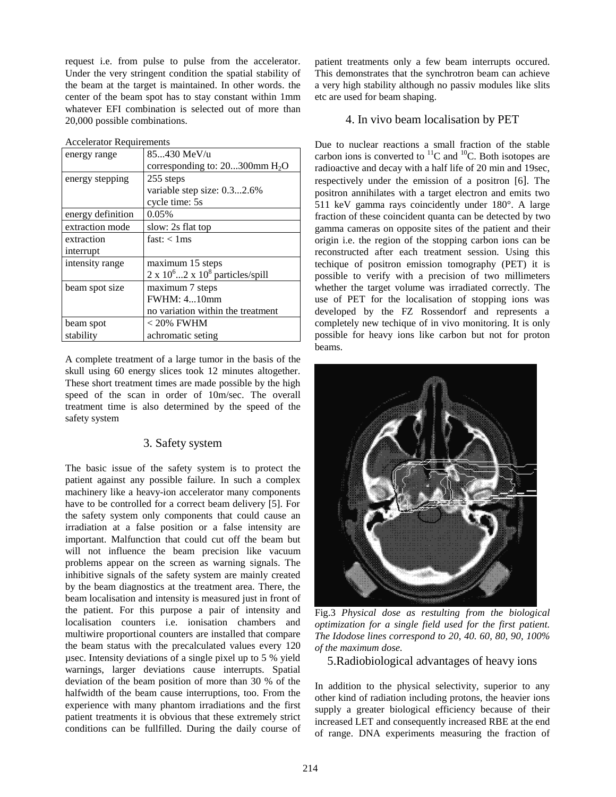request i.e. from pulse to pulse from the accelerator. Under the very stringent condition the spatial stability of the beam at the target is maintained. In other words. the center of the beam spot has to stay constant within 1mm whatever EFI combination is selected out of more than 20,000 possible combinations.

| <b>Accelerator Requirements</b> |                                            |
|---------------------------------|--------------------------------------------|
| energy range                    | 85430 MeV/u                                |
|                                 | corresponding to: $20300$ mm $H_2O$        |
| energy stepping                 | 255 steps                                  |
|                                 | variable step size: 0.32.6%                |
|                                 | cycle time: 5s                             |
| energy definition               | 0.05%                                      |
| extraction mode                 | slow: 2s flat top                          |
| extraction                      | fast: < 1ms                                |
| interrupt                       |                                            |
| intensity range                 | maximum 15 steps                           |
|                                 | $2 \times 10^6$ 2 x $10^8$ particles/spill |
| beam spot size                  | maximum 7 steps                            |
|                                 | <b>FWHM</b> : 410mm                        |
|                                 | no variation within the treatment          |
| beam spot                       | $< 20\%$ FWHM                              |
| stability                       | achromatic seting                          |

A complete treatment of a large tumor in the basis of the skull using 60 energy slices took 12 minutes altogether. These short treatment times are made possible by the high speed of the scan in order of 10m/sec. The overall treatment time is also determined by the speed of the safety system

## 3. Safety system

The basic issue of the safety system is to protect the patient against any possible failure. In such a complex machinery like a heavy-ion accelerator many components have to be controlled for a correct beam delivery [5]. For the safety system only components that could cause an irradiation at a false position or a false intensity are important. Malfunction that could cut off the beam but will not influence the beam precision like vacuum problems appear on the screen as warning signals. The inhibitive signals of the safety system are mainly created by the beam diagnostics at the treatment area. There, the beam localisation and intensity is measured just in front of the patient. For this purpose a pair of intensity and localisation counters i.e. ionisation chambers and multiwire proportional counters are installed that compare the beam status with the precalculated values every 120 µsec. Intensity deviations of a single pixel up to 5 % yield warnings, larger deviations cause interrupts. Spatial deviation of the beam position of more than 30 % of the halfwidth of the beam cause interruptions, too. From the experience with many phantom irradiations and the first patient treatments it is obvious that these extremely strict conditions can be fullfilled. During the daily course of

patient treatments only a few beam interrupts occured. This demonstrates that the synchrotron beam can achieve a very high stability although no passiv modules like slits etc are used for beam shaping.

## 4. In vivo beam localisation by PET

Due to nuclear reactions a small fraction of the stable carbon ions is converted to  ${}^{11}C$  and  ${}^{10}C$ . Both isotopes are radioactive and decay with a half life of 20 min and 19sec, respectively under the emission of a positron [6]. The positron annihilates with a target electron and emits two 511 keV gamma rays coincidently under 180°. A large fraction of these coincident quanta can be detected by two gamma cameras on opposite sites of the patient and their origin i.e. the region of the stopping carbon ions can be reconstructed after each treatment session. Using this techique of positron emission tomography (PET) it is possible to verify with a precision of two millimeters whether the target volume was irradiated correctly. The use of PET for the localisation of stopping ions was developed by the FZ Rossendorf and represents a completely new techique of in vivo monitoring. It is only possible for heavy ions like carbon but not for proton beams.



Fig.3 *Physical dose as restulting from the biological optimization for a single field used for the first patient. The Idodose lines correspond to 20, 40. 60, 80, 90, 100% of the maximum dose.*

5.Radiobiological advantages of heavy ions

In addition to the physical selectivity, superior to any other kind of radiation including protons, the heavier ions supply a greater biological efficiency because of their increased LET and consequently increased RBE at the end of range. DNA experiments measuring the fraction of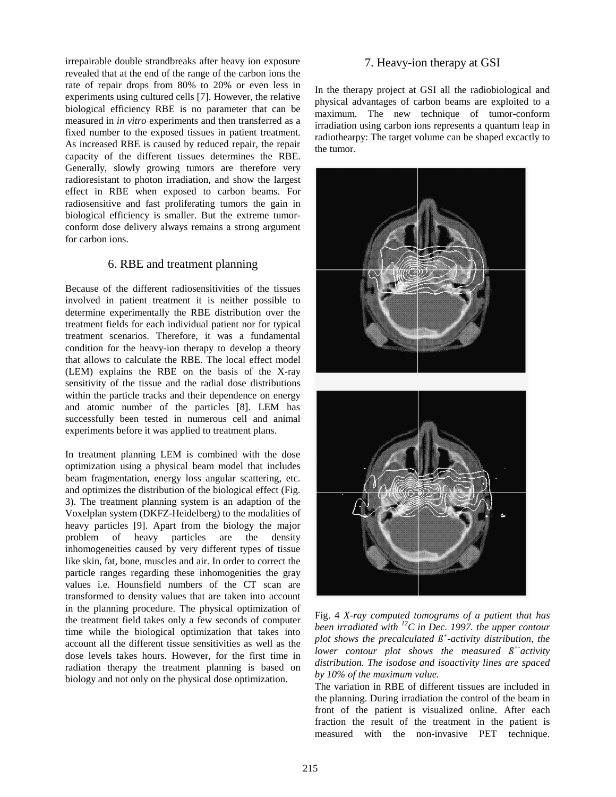irrepairable double strandbreaks after heavy ion exposure revealed that at the end of the range of the carbon ions the rate of repair drops from 80% to 20% or even less in experiments using cultured cells [7]. However, the relative biological efficiency RBE is no parameter that can be measured in *in vitro* experiments and then transferred as a fixed number to the exposed tissues in patient treatment. As increased RBE is caused by reduced repair, the repair capacity of the different tissues determines the RBE. Generally, slowly growing tumors are therefore very radioresistant to photon irradiation, and show the largest effect in RBE when exposed to carbon beams. For radiosensitive and fast proliferating tumors the gain in biological efficiency is smaller. But the extreme tumorconform dose delivery always remains a strong argument for carbon ions.

### 6. RBE and treatment planning

Because of the different radiosensitivities of the tissues involved in patient treatment it is neither possible to determine experimentally the RBE distribution over the treatment fields for each individual patient nor for typical treatment scenarios. Therefore, it was a fundamental condition for the heavy-ion therapy to develop a theory that allows to calculate the RBE. The local effect model (LEM) explains the RBE on the basis of the X-ray sensitivity of the tissue and the radial dose distributions within the particle tracks and their dependence on energy and atomic number of the particles [8]. LEM has successfully been tested in numerous cell and animal experiments before it was applied to treatment plans.

In treatment planning LEM is combined with the dose optimization using a physical beam model that includes beam fragmentation, energy loss angular scattering, etc. and optimizes the distribution of the biological effect (Fig. 3). The treatment planning system is an adaption of the Voxelplan system (DKFZ-Heidelberg) to the modalities of heavy particles [9]. Apart from the biology the major problem of heavy particles are the density inhomogeneities caused by very different types of tissue like skin, fat, bone, muscles and air. In order to correct the particle ranges regarding these inhomogenities the gray values i.e. Hounsfield numbers of the CT scan are transformed to density values that are taken into account in the planning procedure. The physical optimization of the treatment field takes only a few seconds of computer time while the biological optimization that takes into account all the different tissue sensitivities as well as the dose levels takes hours. However, for the first time in radiation therapy the treatment planning is based on biology and not only on the physical dose optimization.

### 7. Heavy-ion therapy at GSI

In the therapy project at GSI all the radiobiological and physical advantages of carbon beams are exploited to a maximum. The new technique of tumor-conform irradiation using carbon ions represents a quantum leap in radiothearpy: The target volume can be shaped excactly to the tumor.



Fig. 4 *X-ray computed tomograms of a patient that has been irradiated with 12C in Dec. 1997. the upper contour plot shows the precalculated ß+ -activity distribution, the lower contour plot shows the measured*  $\beta^+$  *activity distribution. The isodose and isoactivity lines are spaced by 10% of the maximum value.*

The variation in RBE of different tissues are included in the planning. During irradiation the control of the beam in front of the patient is visualized online. After each fraction the result of the treatment in the patient is measured with the non-invasive PET technique.